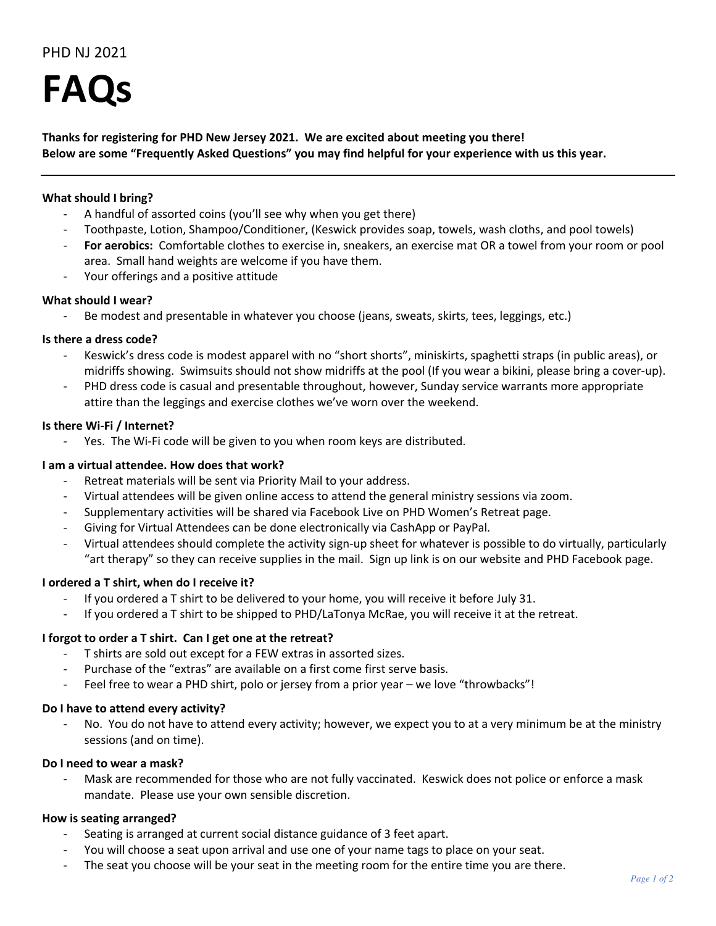# PHD NJ 2021

**FAQs**

**Thanks for registering for PHD New Jersey 2021. We are excited about meeting you there! Below are some "Frequently Asked Questions" you may find helpful for your experience with us this year.**

## **What should I bring?**

- A handful of assorted coins (you'll see why when you get there)
- Toothpaste, Lotion, Shampoo/Conditioner, (Keswick provides soap, towels, wash cloths, and pool towels)
- For aerobics: Comfortable clothes to exercise in, sneakers, an exercise mat OR a towel from your room or pool area. Small hand weights are welcome if you have them.
- Your offerings and a positive attitude

## **What should I wear?**

Be modest and presentable in whatever you choose (jeans, sweats, skirts, tees, leggings, etc.)

## **Is there a dress code?**

- Keswick's dress code is modest apparel with no "short shorts", miniskirts, spaghetti straps (in public areas), or midriffs showing. Swimsuits should not show midriffs at the pool (If you wear a bikini, please bring a cover-up).
- PHD dress code is casual and presentable throughout, however, Sunday service warrants more appropriate attire than the leggings and exercise clothes we've worn over the weekend.

## **Is there Wi-Fi / Internet?**

Yes. The Wi-Fi code will be given to you when room keys are distributed.

## **I am a virtual attendee. How does that work?**

- Retreat materials will be sent via Priority Mail to your address.
- Virtual attendees will be given online access to attend the general ministry sessions via zoom.
- Supplementary activities will be shared via Facebook Live on PHD Women's Retreat page.
- Giving for Virtual Attendees can be done electronically via CashApp or PayPal.
- Virtual attendees should complete the activity sign-up sheet for whatever is possible to do virtually, particularly "art therapy" so they can receive supplies in the mail. Sign up link is on our website and PHD Facebook page.

## **I ordered a T shirt, when do I receive it?**

- If you ordered a T shirt to be delivered to your home, you will receive it before July 31.
- If you ordered a T shirt to be shipped to PHD/LaTonya McRae, you will receive it at the retreat.

## **I forgot to order a T shirt. Can I get one at the retreat?**

- T shirts are sold out except for a FEW extras in assorted sizes.
- Purchase of the "extras" are available on a first come first serve basis.
- Feel free to wear a PHD shirt, polo or jersey from a prior year we love "throwbacks"!

## **Do I have to attend every activity?**

No. You do not have to attend every activity; however, we expect you to at a very minimum be at the ministry sessions (and on time).

## **Do I need to wear a mask?**

Mask are recommended for those who are not fully vaccinated. Keswick does not police or enforce a mask mandate. Please use your own sensible discretion.

## **How is seating arranged?**

- Seating is arranged at current social distance guidance of 3 feet apart.
- You will choose a seat upon arrival and use one of your name tags to place on your seat.
- The seat you choose will be your seat in the meeting room for the entire time you are there.